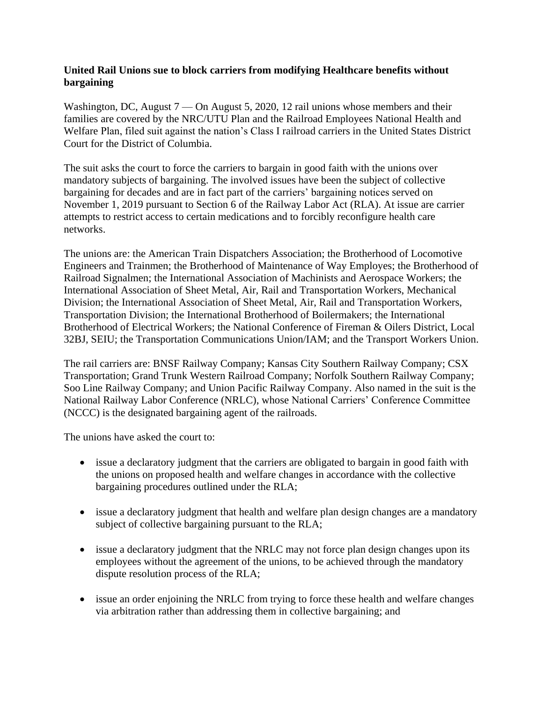## **United Rail Unions sue to block carriers from modifying Healthcare benefits without bargaining**

Washington, DC, August 7 — On August 5, 2020, 12 rail unions whose members and their families are covered by the NRC/UTU Plan and the Railroad Employees National Health and Welfare Plan, filed suit against the nation's Class I railroad carriers in the United States District Court for the District of Columbia.

The suit asks the court to force the carriers to bargain in good faith with the unions over mandatory subjects of bargaining. The involved issues have been the subject of collective bargaining for decades and are in fact part of the carriers' bargaining notices served on November 1, 2019 pursuant to Section 6 of the Railway Labor Act (RLA). At issue are carrier attempts to restrict access to certain medications and to forcibly reconfigure health care networks.

The unions are: the American Train Dispatchers Association; the Brotherhood of Locomotive Engineers and Trainmen; the Brotherhood of Maintenance of Way Employes; the Brotherhood of Railroad Signalmen; the International Association of Machinists and Aerospace Workers; the International Association of Sheet Metal, Air, Rail and Transportation Workers, Mechanical Division; the International Association of Sheet Metal, Air, Rail and Transportation Workers, Transportation Division; the International Brotherhood of Boilermakers; the International Brotherhood of Electrical Workers; the National Conference of Fireman & Oilers District, Local 32BJ, SEIU; the Transportation Communications Union/IAM; and the Transport Workers Union.

The rail carriers are: BNSF Railway Company; Kansas City Southern Railway Company; CSX Transportation; Grand Trunk Western Railroad Company; Norfolk Southern Railway Company; Soo Line Railway Company; and Union Pacific Railway Company. Also named in the suit is the National Railway Labor Conference (NRLC), whose National Carriers' Conference Committee (NCCC) is the designated bargaining agent of the railroads.

The unions have asked the court to:

- issue a declaratory judgment that the carriers are obligated to bargain in good faith with the unions on proposed health and welfare changes in accordance with the collective bargaining procedures outlined under the RLA;
- issue a declaratory judgment that health and welfare plan design changes are a mandatory subject of collective bargaining pursuant to the RLA;
- issue a declaratory judgment that the NRLC may not force plan design changes upon its employees without the agreement of the unions, to be achieved through the mandatory dispute resolution process of the RLA;
- issue an order enjoining the NRLC from trying to force these health and welfare changes via arbitration rather than addressing them in collective bargaining; and